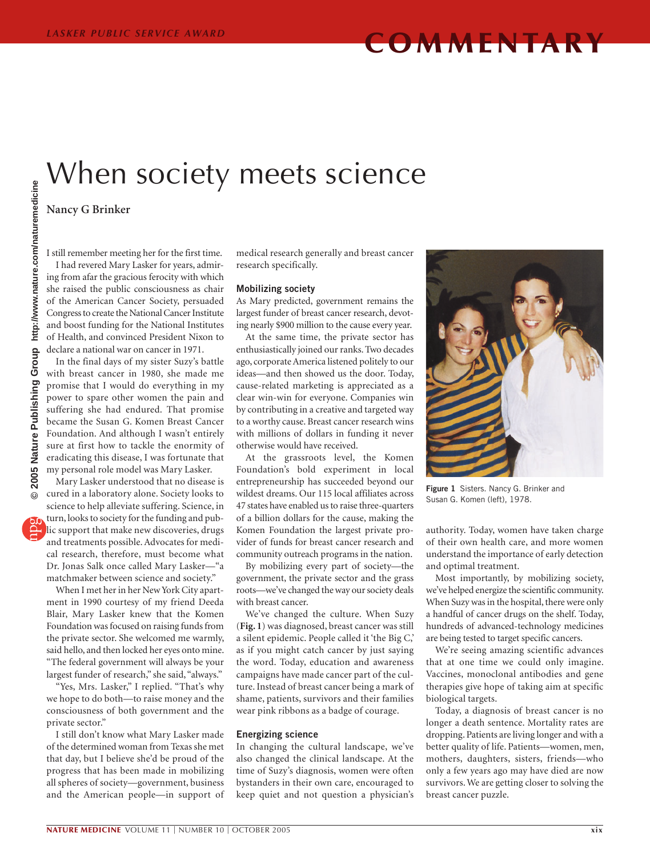# When society meets science

**Nancy G Brinker**

I still remember meeting her for the first time. I had revered Mary Lasker for years, admiring from afar the gracious ferocity with which she raised the public consciousness as chair of the American Cancer Society, persuaded Congress to create the National Cancer Institute and boost funding for the National Institutes of Health, and convinced President Nixon to declare a national war on cancer in 1971.

In the final days of my sister Suzy's battle with breast cancer in 1980, she made me promise that I would do everything in my power to spare other women the pain and suffering she had endured. That promise became the Susan G. Komen Breast Cancer Foundation. And although I wasn't entirely sure at first how to tackle the enormity of eradicating this disease, I was fortunate that my personal role model was Mary Lasker.

Mary Lasker understood that no disease is cured in a laboratory alone. Society looks to science to help alleviate suffering. Science, in

turn, looks to society for the funding and public support that make new discoveries, drugs and treatments possible. Advocates for medical research, therefore, must become what Dr. Jonas Salk once called Mary Lasker—"a matchmaker between science and society."

When I met her in her New York City apartment in 1990 courtesy of my friend Deeda Blair, Mary Lasker knew that the Komen Foundation was focused on raising funds from the private sector. She welcomed me warmly, said hello, and then locked her eyes onto mine. "The federal government will always be your largest funder of research," she said, "always."

"Yes, Mrs. Lasker," I replied. "That's why we hope to do both—to raise money and the consciousness of both government and the private sector."

I still don't know what Mary Lasker made of the determined woman from Texas she met that day, but I believe she'd be proud of the progress that has been made in mobilizing all spheres of society—government, business and the American people—in support of

medical research generally and breast cancer research specifically.

### **Mobilizing society**

As Mary predicted, government remains the largest funder of breast cancer research, devoting nearly \$900 million to the cause every year.

At the same time, the private sector has enthusiastically joined our ranks. Two decades ago, corporate America listened politely to our ideas—and then showed us the door. Today, cause-related marketing is appreciated as a clear win-win for everyone. Companies win by contributing in a creative and targeted way to a worthy cause. Breast cancer research wins with millions of dollars in funding it never otherwise would have received.

At the grassroots level, the Komen Foundation's bold experiment in local entrepreneurship has succeeded beyond our wildest dreams. Our 115 local affiliates across 47 states have enabled us to raise three- quarters of a billion dollars for the cause, making the Komen Foundation the largest private provider of funds for breast cancer research and community outreach programs in the nation.

By mobilizing every part of society—the government, the private sector and the grass roots—we've changed the way our society deals with breast cancer.

We've changed the culture. When Suzy (**Fig. 1**) was diagnosed, breast cancer was still a silent epidemic. People called it 'the Big C,' as if you might catch cancer by just saying the word. Today, education and awareness campaigns have made cancer part of the culture. Instead of breast cancer being a mark of shame, patients, survivors and their families wear pink ribbons as a badge of courage.

#### **Energizing science**

In changing the cultural landscape, we've also changed the clinical landscape. At the time of Suzy's diagnosis, women were often bystanders in their own care, encouraged to keep quiet and not question a physician's



**Figure 1** Sisters. Nancy G. Brinker and Susan G. Komen (left), 1978.

authority. Today, women have taken charge of their own health care, and more women understand the importance of early detection and optimal treatment.

Most importantly, by mobilizing society, we've helped energize the scientific community. When Suzy was in the hospital, there were only a handful of cancer drugs on the shelf. Today, hundreds of advanced-technology medicines are being tested to target specific cancers.

We're seeing amazing scientific advances that at one time we could only imagine. Vaccines, monoclonal antibodies and gene therapies give hope of taking aim at specific biological targets.

Today, a diagnosis of breast cancer is no longer a death sentence. Mortality rates are dropping. Patients are living longer and with a better quality of life. Patients—women, men, mothers, daughters, sisters, friends—who only a few years ago may have died are now survivors. We are getting closer to solving the breast cancer puzzle.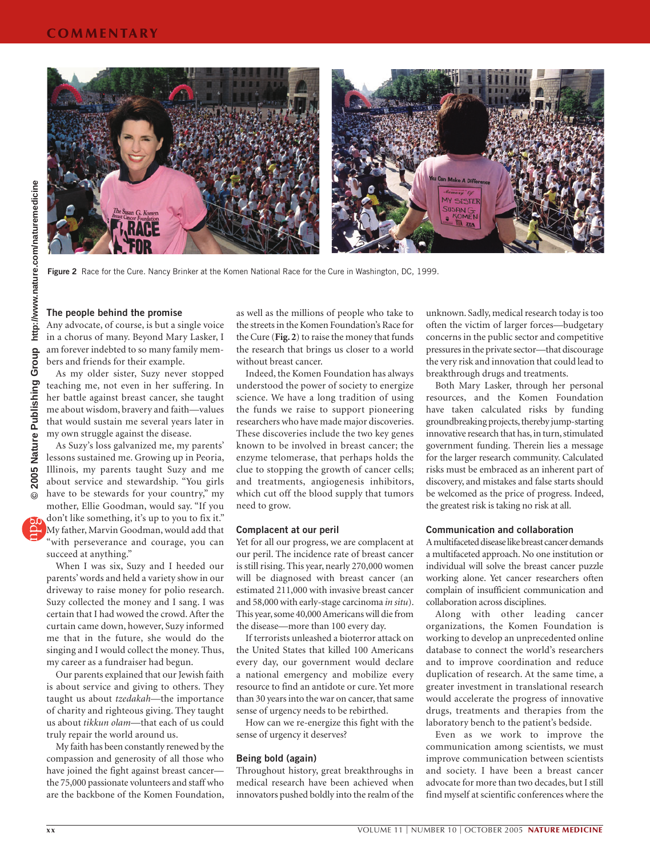

**Figure 2** Race for the Cure. Nancy Brinker at the Komen National Race for the Cure in Washington, DC, 1999.

# **The people behind the promise**

Any advocate, of course, is but a single voice in a chorus of many. Beyond Mary Lasker, I am forever indebted to so many family members and friends for their example.

As my older sister, Suzy never stopped teaching me, not even in her suffering. In her battle against breast cancer, she taught me about wisdom, bravery and faith—values that would sustain me several years later in my own struggle against the disease.

As Suzy's loss galvanized me, my parents' lessons sustained me. Growing up in Peoria, Illinois, my parents taught Suzy and me about service and stewardship. "You girls have to be stewards for your country," my mother, Ellie Goodman, would say. "If you don't like something, it's up to you to fix it." My father, Marvin Goodman, would add that "with perseverance and courage, you can succeed at anything."

When I was six, Suzy and I heeded our parents' words and held a variety show in our driveway to raise money for polio research. Suzy collected the money and I sang. I was certain that I had wowed the crowd. After the curtain came down, however, Suzy informed me that in the future, she would do the singing and I would collect the money. Thus, my career as a fundraiser had begun.

Our parents explained that our Jewish faith is about service and giving to others. They taught us about *tzedakah—*the importance of charity and righteous giving. They taught us about *tikkun olam*—that each of us could truly repair the world around us.

My faith has been constantly renewed by the compassion and generosity of all those who have joined the fight against breast cancer the 75,000 passionate volunteers and staff who are the backbone of the Komen Foundation,

as well as the millions of people who take to the streets in the Komen Foundation's Race for the Cure (**Fig. 2**) to raise the money that funds the research that brings us closer to a world without breast cancer.

Indeed, the Komen Foundation has always understood the power of society to energize science. We have a long tradition of using the funds we raise to support pioneering researchers who have made major discoveries. These discoveries include the two key genes known to be involved in breast cancer; the enzyme telomerase, that perhaps holds the clue to stopping the growth of cancer cells; and treatments, angiogenesis inhibitors, which cut off the blood supply that tumors need to grow.

## **Complacent at our peril**

Yet for all our progress, we are complacent at our peril. The incidence rate of breast cancer is still rising. This year, nearly 270,000 women will be diagnosed with breast cancer (an estimated 211,000 with invasive breast cancer and 58,000 with early-stage carcinoma *in situ*). This year, some 40,000 Americans will die from the disease—more than 100 every day.

If terrorists unleashed a bioterror attack on the United States that killed 100 Americans every day, our government would declare a national emergency and mobilize every resource to find an antidote or cure. Yet more than 30 years into the war on cancer, that same sense of urgency needs to be rebirthed.

How can we re-energize this fight with the sense of urgency it deserves?

#### **Being bold (again)**

Throughout history, great breakthroughs in medical research have been achieved when innovators pushed boldly into the realm of the

unknown. Sadly, medical research today is too often the victim of larger forces—budgetary concerns in the public sector and competitive pressures in the private sector—that discourage the very risk and innovation that could lead to breakthrough drugs and treatments.

Both Mary Lasker, through her personal resources, and the Komen Foundation have taken calculated risks by funding groundbreaking projects, thereby jump- starting innovative research that has, in turn, stimulated government funding. Therein lies a message for the larger research community. Calculated risks must be embraced as an inherent part of discovery, and mistakes and false starts should be welcomed as the price of progress. Indeed, the greatest risk is taking no risk at all.

# **Communication and collaboration**

A multifaceted disease like breast cancer demands a multifaceted approach. No one institution or individual will solve the breast cancer puzzle working alone. Yet cancer researchers often complain of insufficient communication and collaboration across disciplines.

Along with other leading cancer organizations, the Komen Foundation is working to develop an unprecedented online database to connect the world's researchers and to improve coordination and reduce duplication of research. At the same time, a greater investment in translational research would accelerate the progress of innovative drugs, treatments and therapies from the laboratory bench to the patient's bedside.

Even as we work to improve the communication among scientists, we must improve communication between scientists and society. I have been a breast cancer advocate for more than two decades, but I still find myself at scientific conferences where the